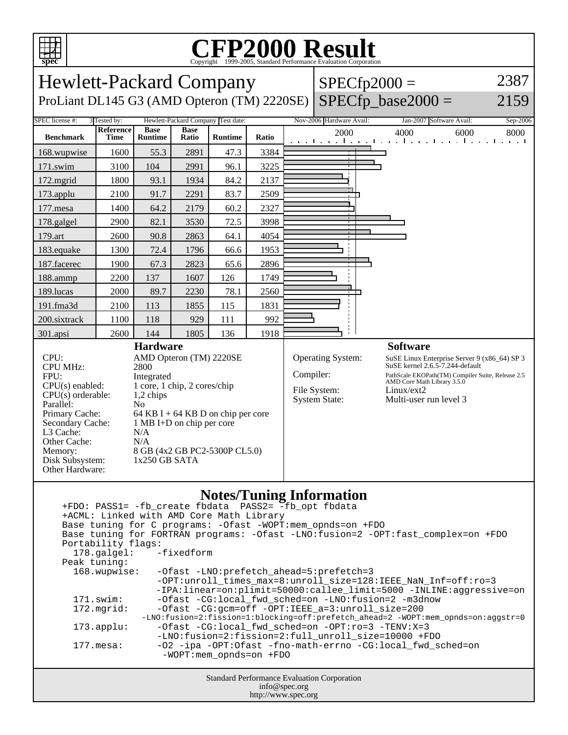

## C<sub>opyright</sub> ©1999-2005, Standard Performance Evaluation Corporation

| 5.5<br>Copyright @1999-2009, Dundard Ferrormance Evanuation Corporation                                                                                                                                                                                                                                                                                                                                                                                                                                                                                                                                                                                                                                                                                                                                                                                                                                                                                                                                                                              |                   |                        |                      |                                    |       |                                                                                                                                                                                                                                                                                              |                          |  |                                                                 |          |
|------------------------------------------------------------------------------------------------------------------------------------------------------------------------------------------------------------------------------------------------------------------------------------------------------------------------------------------------------------------------------------------------------------------------------------------------------------------------------------------------------------------------------------------------------------------------------------------------------------------------------------------------------------------------------------------------------------------------------------------------------------------------------------------------------------------------------------------------------------------------------------------------------------------------------------------------------------------------------------------------------------------------------------------------------|-------------------|------------------------|----------------------|------------------------------------|-------|----------------------------------------------------------------------------------------------------------------------------------------------------------------------------------------------------------------------------------------------------------------------------------------------|--------------------------|--|-----------------------------------------------------------------|----------|
| <b>Hewlett-Packard Company</b>                                                                                                                                                                                                                                                                                                                                                                                                                                                                                                                                                                                                                                                                                                                                                                                                                                                                                                                                                                                                                       |                   |                        |                      |                                    |       |                                                                                                                                                                                                                                                                                              | $SPECfp2000 =$           |  |                                                                 | 2387     |
| $SPECfp\_base2000 =$<br>ProLiant DL145 G3 (AMD Opteron (TM) 2220SE)<br>2159                                                                                                                                                                                                                                                                                                                                                                                                                                                                                                                                                                                                                                                                                                                                                                                                                                                                                                                                                                          |                   |                        |                      |                                    |       |                                                                                                                                                                                                                                                                                              |                          |  |                                                                 |          |
| SPEC license #:                                                                                                                                                                                                                                                                                                                                                                                                                                                                                                                                                                                                                                                                                                                                                                                                                                                                                                                                                                                                                                      | 3 Tested by:      |                        |                      | Hewlett-Packard Company Test date: |       |                                                                                                                                                                                                                                                                                              | Nov-2006 Hardware Avail: |  | Jan-2007 Software Avail:                                        | Sep-2006 |
| <b>Benchmark</b>                                                                                                                                                                                                                                                                                                                                                                                                                                                                                                                                                                                                                                                                                                                                                                                                                                                                                                                                                                                                                                     | Reference<br>Time | <b>Base</b><br>Runtime | <b>Base</b><br>Ratio | <b>Runtime</b>                     | Ratio |                                                                                                                                                                                                                                                                                              | 2000                     |  | 4000<br>6000<br>الكفحا بتبكآ كتبا بتبكا جبجا جبرا جبجا جبجا بتب | 8000     |
| 168.wupwise                                                                                                                                                                                                                                                                                                                                                                                                                                                                                                                                                                                                                                                                                                                                                                                                                                                                                                                                                                                                                                          | 1600              | 55.3                   | 2891                 | 47.3                               | 3384  |                                                                                                                                                                                                                                                                                              |                          |  |                                                                 |          |
| 171.swim                                                                                                                                                                                                                                                                                                                                                                                                                                                                                                                                                                                                                                                                                                                                                                                                                                                                                                                                                                                                                                             | 3100              | 104                    | 2991                 | 96.1                               | 3225  |                                                                                                                                                                                                                                                                                              |                          |  |                                                                 |          |
| 172.mgrid                                                                                                                                                                                                                                                                                                                                                                                                                                                                                                                                                                                                                                                                                                                                                                                                                                                                                                                                                                                                                                            | 1800              | 93.1                   | 1934                 | 84.2                               | 2137  |                                                                                                                                                                                                                                                                                              |                          |  |                                                                 |          |
| 173.applu                                                                                                                                                                                                                                                                                                                                                                                                                                                                                                                                                                                                                                                                                                                                                                                                                                                                                                                                                                                                                                            | 2100              | 91.7                   | 2291                 | 83.7                               | 2509  |                                                                                                                                                                                                                                                                                              |                          |  |                                                                 |          |
| 177.mesa                                                                                                                                                                                                                                                                                                                                                                                                                                                                                                                                                                                                                                                                                                                                                                                                                                                                                                                                                                                                                                             | 1400              | 64.2                   | 2179                 | 60.2                               | 2327  |                                                                                                                                                                                                                                                                                              |                          |  |                                                                 |          |
| 178.galgel                                                                                                                                                                                                                                                                                                                                                                                                                                                                                                                                                                                                                                                                                                                                                                                                                                                                                                                                                                                                                                           | 2900              | 82.1                   | 3530                 | 72.5                               | 3998  |                                                                                                                                                                                                                                                                                              |                          |  |                                                                 |          |
| 179.art                                                                                                                                                                                                                                                                                                                                                                                                                                                                                                                                                                                                                                                                                                                                                                                                                                                                                                                                                                                                                                              | 2600              | 90.8                   | 2863                 | 64.1                               | 4054  |                                                                                                                                                                                                                                                                                              |                          |  |                                                                 |          |
| 183.equake                                                                                                                                                                                                                                                                                                                                                                                                                                                                                                                                                                                                                                                                                                                                                                                                                                                                                                                                                                                                                                           | 1300              | 72.4                   | 1796                 | 66.6                               | 1953  |                                                                                                                                                                                                                                                                                              |                          |  |                                                                 |          |
| 187.facerec                                                                                                                                                                                                                                                                                                                                                                                                                                                                                                                                                                                                                                                                                                                                                                                                                                                                                                                                                                                                                                          | 1900              | 67.3                   | 2823                 | 65.6                               | 2896  |                                                                                                                                                                                                                                                                                              |                          |  |                                                                 |          |
| 188.ammp                                                                                                                                                                                                                                                                                                                                                                                                                                                                                                                                                                                                                                                                                                                                                                                                                                                                                                                                                                                                                                             | 2200              | 137                    | 1607                 | 126                                | 1749  |                                                                                                                                                                                                                                                                                              |                          |  |                                                                 |          |
| 189.lucas                                                                                                                                                                                                                                                                                                                                                                                                                                                                                                                                                                                                                                                                                                                                                                                                                                                                                                                                                                                                                                            | 2000              | 89.7                   | 2230                 | 78.1                               | 2560  |                                                                                                                                                                                                                                                                                              |                          |  |                                                                 |          |
| 191.fma3d                                                                                                                                                                                                                                                                                                                                                                                                                                                                                                                                                                                                                                                                                                                                                                                                                                                                                                                                                                                                                                            | 2100              | 113                    | 1855                 | 115                                | 1831  |                                                                                                                                                                                                                                                                                              |                          |  |                                                                 |          |
| 200.sixtrack                                                                                                                                                                                                                                                                                                                                                                                                                                                                                                                                                                                                                                                                                                                                                                                                                                                                                                                                                                                                                                         | 1100              | 118                    | 929                  | 111                                | 992   |                                                                                                                                                                                                                                                                                              |                          |  |                                                                 |          |
| 301.apsi                                                                                                                                                                                                                                                                                                                                                                                                                                                                                                                                                                                                                                                                                                                                                                                                                                                                                                                                                                                                                                             | 2600              | 144                    | 1805                 | 136                                | 1918  |                                                                                                                                                                                                                                                                                              |                          |  | <b>Software</b>                                                 |          |
| CPU:<br>AMD Opteron (TM) 2220SE<br><b>CPU MHz:</b><br>2800<br>FPU:<br>Integrated<br>1 core, 1 chip, 2 cores/chip<br>$CPU(s)$ enabled:<br>$CPU(s)$ orderable:<br>1,2 chips<br>Parallel:<br>No<br>Primary Cache:<br>64 KB I + 64 KB D on chip per core<br>Secondary Cache:<br>1 MB I+D on chip per core<br>L3 Cache:<br>N/A<br>Other Cache:<br>N/A<br>Memory:<br>8 GB (4x2 GB PC2-5300P CL5.0)<br>Disk Subsystem:<br>$1x250$ GB SATA<br>Other Hardware:                                                                                                                                                                                                                                                                                                                                                                                                                                                                                                                                                                                                |                   |                        |                      |                                    |       | <b>Operating System:</b><br>SuSE Linux Enterprise Server 9 (x86_64) SP 3<br>SuSE kernel 2.6.5-7.244-default<br>Compiler:<br>PathScale EKOPath(TM) Compiler Suite, Release 2.5<br>AMD Core Math Library 3.5.0<br>File System:<br>Linux/ext2<br><b>System State:</b><br>Multi-user run level 3 |                          |  |                                                                 |          |
| <b>Notes/Tuning Information</b><br>+FDO: PASS1= -fb_create fbdata PASS2= -fb_opt fbdata<br>+ACML: Linked with AMD Core Math Library<br>Base tuning for C programs: - Ofast - WOPT: mem_opnds=on +FDO<br>Base tuning for FORTRAN programs: - Ofast -LNO: fusion=2 -OPT: fast_complex=on +FDO<br>Portability flags:<br>-fixedform<br>178.galgel:<br>Peak tuning:<br>168.wupwise:<br>-Ofast -LNO: prefetch_ahead=5: prefetch=3<br>-OPT:unroll_times_max=8:unroll_size=128:IEEE_NaN_Inf=off:ro=3<br>-IPA:linear=on:plimit=50000:callee_limit=5000 -INLINE:aggressive=on<br>$171$ .swim:<br>-Ofast -CG:local_fwd_sched=on -LNO:fusion=2 -m3dnow<br>172.mgrid:<br>-Ofast -CG:gcm=off -OPT:IEEE_a=3:unroll_size=200<br>-LNO:fusion=2:fission=1:blocking=off:prefetch_ahead=2 -WOPT:mem_opnds=on:aggstr=0<br>-Ofast -CG:local_fwd_sched=on -OPT:ro=3 -TENV:X=3<br>$173.\text{applu}:$<br>-LNO:fusion=2:fission=2:full_unroll_size=10000 +FDO<br>$177.\text{mesa}$ :<br>-02 -ipa -0PT:0fast -fno-math-errno -CG:local_fwd_sched=on<br>-WOPT:mem_opnds=on +FDO |                   |                        |                      |                                    |       |                                                                                                                                                                                                                                                                                              |                          |  |                                                                 |          |
| Standard Performance Evaluation Corporation<br>info@spec.org<br>http://www.spec.org                                                                                                                                                                                                                                                                                                                                                                                                                                                                                                                                                                                                                                                                                                                                                                                                                                                                                                                                                                  |                   |                        |                      |                                    |       |                                                                                                                                                                                                                                                                                              |                          |  |                                                                 |          |